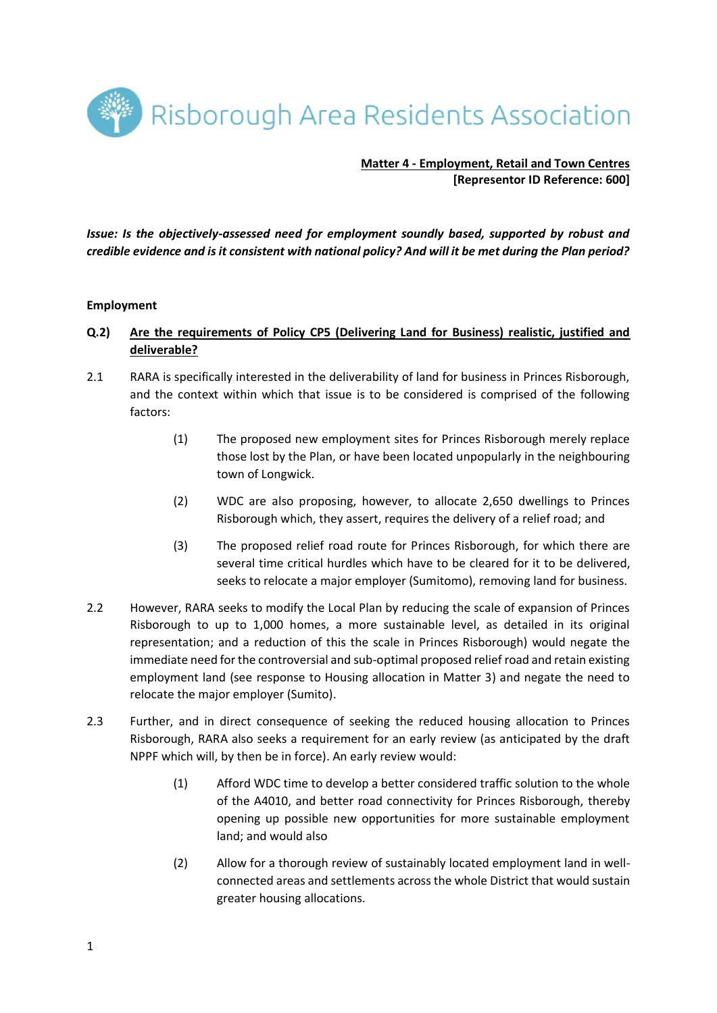Risborough Area Residents Association

### **Matter 4 - Employment, Retail and Town Centres [Representor ID Reference: 600]**

*Issue: Is the objectively-assessed need for employment soundly based, supported by robust and credible evidence and is it consistent with national policy? And will it be met during the Plan period?* 

### **Employment**

# **Q.2) Are the requirements of Policy CP5 (Delivering Land for Business) realistic, justified and deliverable?**

- 2.1 RARA is specifically interested in the deliverability of land for business in Princes Risborough, and the context within which that issue is to be considered is comprised of the following factors:
	- (1) The proposed new employment sites for Princes Risborough merely replace those lost by the Plan, or have been located unpopularly in the neighbouring town of Longwick.
	- (2) WDC are also proposing, however, to allocate 2,650 dwellings to Princes Risborough which, they assert, requires the delivery of a relief road; and
	- (3) The proposed relief road route for Princes Risborough, for which there are several time critical hurdles which have to be cleared for it to be delivered, seeks to relocate a major employer (Sumitomo), removing land for business.
- 2.2 However, RARA seeks to modify the Local Plan by reducing the scale of expansion of Princes Risborough to up to 1,000 homes, a more sustainable level, as detailed in its original representation; and a reduction of this the scale in Princes Risborough) would negate the immediate need for the controversial and sub-optimal proposed relief road and retain existing employment land (see response to Housing allocation in Matter 3) and negate the need to relocate the major employer (Sumito).
- 2.3 Further, and in direct consequence of seeking the reduced housing allocation to Princes Risborough, RARA also seeks a requirement for an early review (as anticipated by the draft NPPF which will, by then be in force). An early review would:
	- (1) Afford WDC time to develop a better considered traffic solution to the whole of the A4010, and better road connectivity for Princes Risborough, thereby opening up possible new opportunities for more sustainable employment land; and would also
	- (2) Allow for a thorough review of sustainably located employment land in wellconnected areas and settlements across the whole District that would sustain greater housing allocations.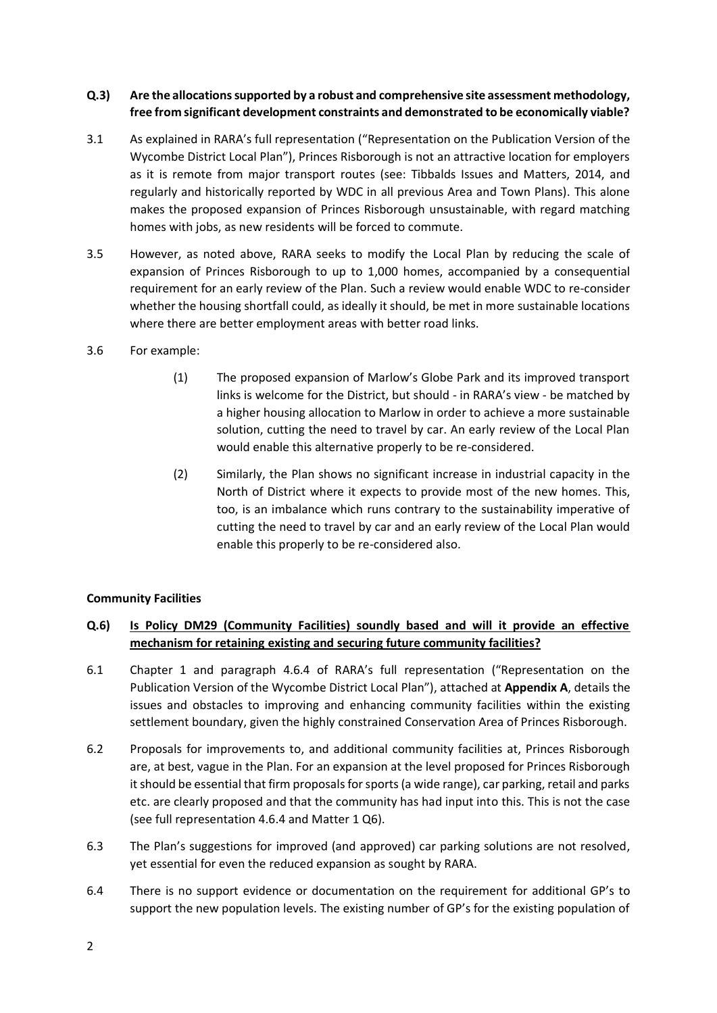## **Q.3) Are the allocations supported by a robust and comprehensive site assessment methodology, free from significant development constraints and demonstrated to be economically viable?**

- 3.1 As explained in RARA's full representation ("Representation on the Publication Version of the Wycombe District Local Plan"), Princes Risborough is not an attractive location for employers as it is remote from major transport routes (see: Tibbalds Issues and Matters, 2014, and regularly and historically reported by WDC in all previous Area and Town Plans). This alone makes the proposed expansion of Princes Risborough unsustainable, with regard matching homes with jobs, as new residents will be forced to commute.
- 3.5 However, as noted above, RARA seeks to modify the Local Plan by reducing the scale of expansion of Princes Risborough to up to 1,000 homes, accompanied by a consequential requirement for an early review of the Plan. Such a review would enable WDC to re-consider whether the housing shortfall could, as ideally it should, be met in more sustainable locations where there are better employment areas with better road links.
- 3.6 For example:
	- (1) The proposed expansion of Marlow's Globe Park and its improved transport links is welcome for the District, but should - in RARA's view - be matched by a higher housing allocation to Marlow in order to achieve a more sustainable solution, cutting the need to travel by car. An early review of the Local Plan would enable this alternative properly to be re-considered.
	- (2) Similarly, the Plan shows no significant increase in industrial capacity in the North of District where it expects to provide most of the new homes. This, too, is an imbalance which runs contrary to the sustainability imperative of cutting the need to travel by car and an early review of the Local Plan would enable this properly to be re-considered also.

## **Community Facilities**

# **Q.6) Is Policy DM29 (Community Facilities) soundly based and will it provide an effective mechanism for retaining existing and securing future community facilities?**

- 6.1 Chapter 1 and paragraph 4.6.4 of RARA's full representation ("Representation on the Publication Version of the Wycombe District Local Plan"), attached at **Appendix A**, details the issues and obstacles to improving and enhancing community facilities within the existing settlement boundary, given the highly constrained Conservation Area of Princes Risborough.
- 6.2 Proposals for improvements to, and additional community facilities at, Princes Risborough are, at best, vague in the Plan. For an expansion at the level proposed for Princes Risborough it should be essential that firm proposals for sports (a wide range), car parking, retail and parks etc. are clearly proposed and that the community has had input into this. This is not the case (see full representation 4.6.4 and Matter 1 Q6).
- 6.3 The Plan's suggestions for improved (and approved) car parking solutions are not resolved, yet essential for even the reduced expansion as sought by RARA.
- 6.4 There is no support evidence or documentation on the requirement for additional GP's to support the new population levels. The existing number of GP's for the existing population of